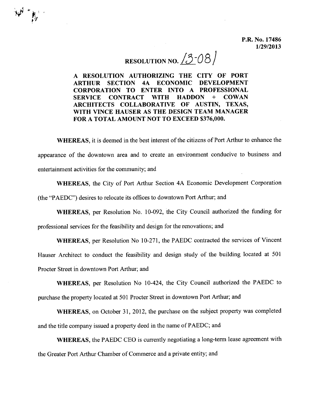P.R. No. 17486 1/29/2013

# RESOLUTION NO.  $/3$ -08

A RESOLUTION AUTHORIZING THE CITY OF PORT ARTHUR SECTION 4A ECONOMIC DEVELOPMENT CORPORATION TO ENTER INTO A PROFESSIONAL SERVICE CONTRACT WITH HADDON + COWAN ARCHITECTS COLLABORATIVE OF AUSTIN, TEXAS, WITH VINCE HAUSER AS THE DESIGN TEAM MANAGER FOR A TOTAL AMOUNT NOT TO EXCEED \$376,000.

**1999 - 1999** 

WHEREAS, it is deemed in the best interest of the citizens of Port Arthur to enhance the appearance of the downtown area and to create an environment conducive to business and entertainment activities for the community; and

WHEREAS, the City of Port Arthur Section 4A Economic Development Corporation (the "PAEDC") desires to relocate its offices to downtown Port Arthur; and

WHEREAS, per Resolution No. 10-092, the City Council authorized the funding for professional services for the feasibility and design for the renovations; and

WHEREAS, per Resolution No 10-271, the PAEDC contracted the services of Vincent Hauser Architect to conduct the feasibility and design study of the building located at 501 Procter Street in downtown Port Arthur; and

WHEREAS, per Resolution No 10-424, the City Council authorized the PAEDC to purchase the property located at 501 Procter Street in downtown Port Arthur; and

WHEREAS, on October 31, 2012, the purchase on the subject property was completed and the title company issued a property deed in the name of PAEDC; and

WHEREAS, the PAEDC CEO is currently negotiating a long-term lease agreement with the Greater Port Arthur Chamber of Commerce and a private entity; and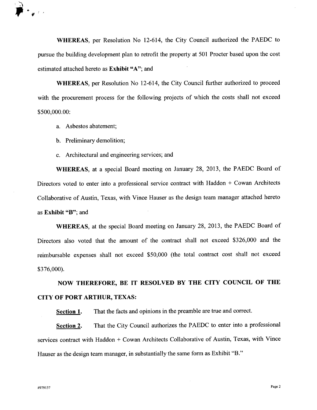

**WHEREAS,** per Resolution No 12-614, the City Council authorized the PAEDC to pursue the building development plan to retrofit the property at 501 Procter based upon the cost estimated attached hereto as **Exhibit** "A"; and

**WHEREAS,** per Resolution No 12-614, the City Council further authorized to proceed with the procurement process for the following projects of which the costs shall not exceed \$500,000.00:

- a. Asbestos abatement;
- b. Preliminary demolition;
- c. Architectural and engineering services; and

**WHEREAS,** at a special Board meeting on January 28, 2013, the PAEDC Board of Directors voted to enter into a professional service contract with Haddon + Cowan Architects Collaborative of Austin, Texas, with Vince Hauser as the design team manager attached hereto as **Exhibit** "B"; and

**WHEREAS,** at the special Board meeting on January 28, 2013, the PAEDC Board of Directors also voted that the amount of the contract shall not exceed \$326,000 and the reimbursable expenses shall not exceed \$50,000 (the total contract cost shall not exceed \$376,000).

**NOW THEREFORE, BE IT RESOLVED BY THE CITY COUNCIL OF THE CITY OF PORT ARTHUR, TEXAS:**

**Section 1.** That the facts and opinions in the preamble are true and correct.

**Section 2.** That the City Council authorizes the PAEDC to enter into a professional services contract with Haddon + Cowan Architects Collaborative of Austin, Texas, with Vince Hauser as the design team manager, in substantially the same form as Exhibit "B."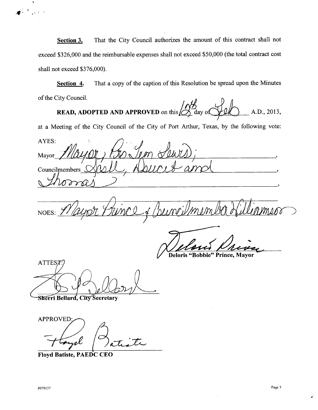**<u>Section 3.</u>** That the City Council authorizes the amount of this contract shall not exceed \$326,000 and the reimbursable expenses shall not exceed \$50,000 (the total contract cost shall not exceed \$376,000).

**Section 4.** That a copy of the caption of this Resolution be spread upon the Minutes of the City Council.

**READ, ADOPTED AND APPROVED** on this  $\frac{\sqrt{2}}{2}$  day of  $\frac{\sqrt{2}}{2}$  A.D., 2013,

at a Meeting of the City Council of the City of Port Arthur, Texas, by the following vote:

AYES: Mayor Councilmembers  $\sqrt$ 

**NOES:** 

**Deloris "Bobbie" Prince, Mayor** 

ATTEST:

Sherri Bellard, City Secretary

**APPROVED**  $\beta$  et it rp

**Floyd Batiste, PAEDC CEO**

*..11 .* :t \ i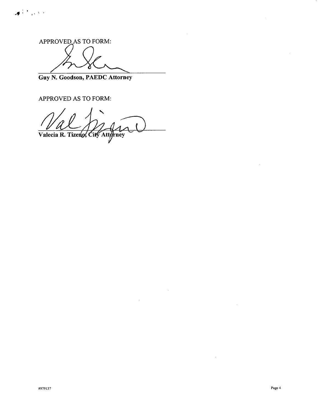APPROVED AS TO FORM:

*-II.* 'J <sup>1</sup> " )

**Guy N. Goodson, PAEDC Attorney**

APPROVED AS TO FORM:

 $\sqrt{\text{Valecia R}}$ . Tizeno, City Attorney

 $\sim 10$ 

 $\ddot{\phantom{0}}$ 

 $\mathcal{A}$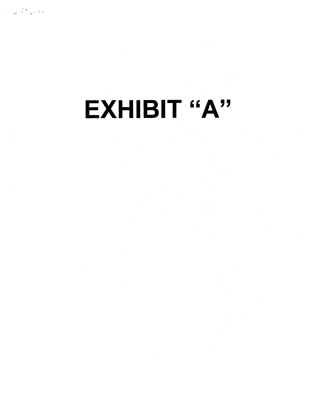# **EXHIBIT "A"**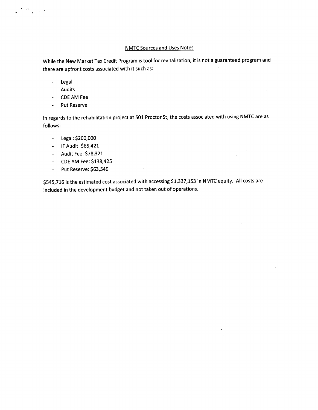## NMTC Sources and Uses Notes

While the New Market Tax Credit Program is tool for revitalization, it is not a guaranteed program and there are upfront costs associated with it such as:

- Legal  $\mathbb{Z}^{\mathbb{Z}}$
- Audits
- CDEAM Fee
- Put Reserve

In regards to the rehabilitation project at 501 Proctor St, the costs associated with using NMTC are as follows:

- Legal: \$200,000
- IF Audit: \$65,421
- Audit Fee: \$78,321
- CDEAM Fee: \$138,425
- Put Reserve: \$63,549  $\omega$

\$545,716 is the estimated cost associated with accessing \$1,337,153 in NMTC equity. All costs are included in the development budget and not taken out of operations.

 $\bar{z}$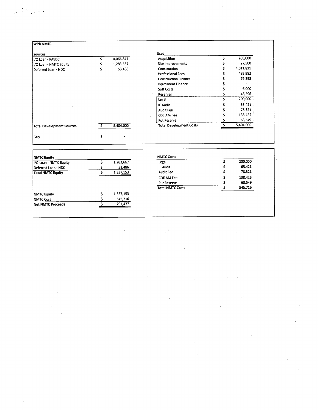$\sim 10$ 

 $\label{eq:2.1} \frac{1}{2} \sum_{i=1}^n \frac{1}{2} \sum_{j=1}^n \frac{1}{2} \sum_{j=1}^n \frac{1}{2} \sum_{j=1}^n \frac{1}{2} \sum_{j=1}^n \frac{1}{2} \sum_{j=1}^n \frac{1}{2} \sum_{j=1}^n \frac{1}{2} \sum_{j=1}^n \frac{1}{2} \sum_{j=1}^n \frac{1}{2} \sum_{j=1}^n \frac{1}{2} \sum_{j=1}^n \frac{1}{2} \sum_{j=1}^n \frac{1}{2} \sum_{j=1}^n \frac{$ 

 $\mathcal{L}^{\text{max}}_{\text{max}}$ 

 $\hat{\mathcal{F}}$ 

| Sources                   |           | <b>Uses</b>                    |           |
|---------------------------|-----------|--------------------------------|-----------|
| 1/O Loan - PAEDC          | 4,066,847 | Acquisition                    | 200,000   |
| I/O Loan - NMTC Equity    | 1,283,667 | Site Improvements              | 27,500    |
| Deferred Loan - NDC       | 53,486    | Construction                   | 4,011,811 |
|                           |           | Professional Fees              | 489,982   |
|                           |           | <b>Construction Finance</b>    | 76,395    |
|                           |           | <b>Permanent Finance</b>       |           |
|                           |           | Soft Costs                     | 6,000     |
|                           |           | Reserves                       | 46,596    |
|                           |           | Legal                          | 200,000   |
|                           |           | IF Audit                       | 65,421    |
|                           |           | <b>Audit Fee</b>               | 78,321    |
|                           |           | CDE AM Fee                     | 138,425   |
|                           |           | Put Reserve                    | 63,549    |
| Total Development Sources | 5,404,000 | <b>Total Development Costs</b> | 5,404,000 |

 $\mathcal{L}^{\text{max}}_{\text{max}}$  , where  $\mathcal{L}^{\text{max}}_{\text{max}}$ 

 $\gamma_{\rm{max}}$ 

 $\label{eq:2.1} \frac{1}{\sqrt{2}}\int_{\mathbb{R}^3}\frac{1}{\sqrt{2}}\left(\frac{1}{\sqrt{2}}\right)^2\left(\frac{1}{\sqrt{2}}\right)^2\left(\frac{1}{\sqrt{2}}\right)^2\left(\frac{1}{\sqrt{2}}\right)^2\left(\frac{1}{\sqrt{2}}\right)^2.$ 

 $\mathcal{A}^{\mathcal{A}}$ 

| <b>NMTC Equity</b>        |           | <b>NMTC Costs</b>       |         |
|---------------------------|-----------|-------------------------|---------|
| II/O Loan - NMTC Equity   | 1,283,667 | Legal                   | 200,000 |
| Deferred Loan - NDC       | 53,486    | IF Audit                | 65,421  |
| Total NMTC Equity         | 1,337,153 | <b>Audit Fee</b>        | 78,321  |
|                           |           | <b>CDE AM Fee</b>       | 138,425 |
|                           |           | <b>Put Reserve</b>      | 63,549  |
|                           |           | <b>Total NMTC Costs</b> | 545,716 |
| <b>NMTC</b> Equity        | 1,337,153 |                         |         |
| <b>INMTC Cost</b>         | 545,716   |                         |         |
| <b>INet NMTC Proceeds</b> | 791,437   |                         |         |

 $\label{eq:2.1} \frac{d\mathbf{r}}{dt} = \frac{1}{2} \left[ \frac{d\mathbf{r}}{dt} + \frac{d\mathbf{r}}{dt} \right] \mathbf{r} + \frac{d\mathbf{r}}{dt} \mathbf{r} + \frac{d\mathbf{r}}{dt} \mathbf{r} + \frac{d\mathbf{r}}{dt} \mathbf{r} + \frac{d\mathbf{r}}{dt} \mathbf{r} + \frac{d\mathbf{r}}{dt} \mathbf{r} + \frac{d\mathbf{r}}{dt} \mathbf{r} + \frac{d\mathbf{r}}{dt} \mathbf{r} + \frac{d\mathbf{r}}$ 

 $\hat{\mathcal{L}}$ 

 $\label{eq:2.1} \frac{1}{\sqrt{2}}\int_{\mathbb{R}^3}\frac{1}{\sqrt{2}}\left(\frac{1}{\sqrt{2}}\right)^2\frac{1}{\sqrt{2}}\left(\frac{1}{\sqrt{2}}\right)^2\frac{1}{\sqrt{2}}\left(\frac{1}{\sqrt{2}}\right)^2\frac{1}{\sqrt{2}}\left(\frac{1}{\sqrt{2}}\right)^2.$ 

 $\mathcal{L}^{\text{max}}_{\text{max}}$ 

 $\label{eq:2} \begin{split} \frac{1}{\sqrt{2}}\frac{1}{\sqrt{2}}\frac{1}{\sqrt{2}}\frac{1}{\sqrt{2}}\frac{1}{\sqrt{2}}\frac{1}{\sqrt{2}}\frac{1}{\sqrt{2}}\frac{1}{\sqrt{2}}\frac{1}{\sqrt{2}}\frac{1}{\sqrt{2}}\frac{1}{\sqrt{2}}\frac{1}{\sqrt{2}}\frac{1}{\sqrt{2}}\frac{1}{\sqrt{2}}\frac{1}{\sqrt{2}}\frac{1}{\sqrt{2}}\frac{1}{\sqrt{2}}\frac{1}{\sqrt{2}}\frac{1}{\sqrt{2}}\frac{1}{\sqrt{2}}\frac{1}{\sqrt{$ 

 $\sim 0.1$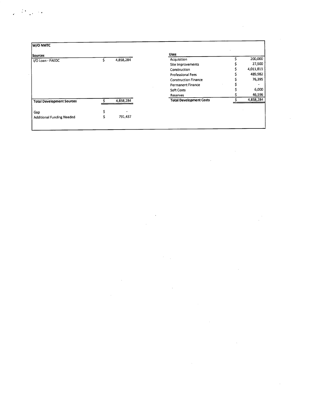| W/O NMTC                         |           |                                |           |
|----------------------------------|-----------|--------------------------------|-----------|
| Sources                          |           | <b>Uses</b>                    |           |
| I/O Loan - PAEDC                 | 4,858,284 | Acquisition                    | 200,000   |
|                                  |           | Site Improvements              | 27,500    |
|                                  |           | Construction                   | 4,011,811 |
|                                  |           | Professional Fees              | 489,982   |
|                                  |           | <b>Construction Finance</b>    | 76,395    |
|                                  |           | <b>Permanent Finance</b>       |           |
|                                  |           | Soft Costs                     | 6,000     |
|                                  |           | Reserves                       | 46,596    |
| <b>Total Development Sources</b> | 4,858,284 | <b>Total Development Costs</b> | 4,858,284 |

 $\label{eq:2.1} \frac{1}{\sqrt{2}}\int_{0}^{\infty}\frac{1}{\sqrt{2\pi}}\left(\frac{1}{\sqrt{2\pi}}\int_{0}^{\infty}\frac{1}{\sqrt{2\pi}}\left(\frac{1}{\sqrt{2\pi}}\right)\frac{1}{\sqrt{2\pi}}\right)\frac{d\theta}{\sqrt{2\pi}}\,d\theta.$ 

 $\label{eq:2.1} \frac{1}{\sqrt{2}}\int_{\mathbb{R}^3}\frac{1}{\sqrt{2}}\left(\frac{1}{\sqrt{2}}\right)^2\frac{1}{\sqrt{2}}\left(\frac{1}{\sqrt{2}}\right)^2\frac{1}{\sqrt{2}}\left(\frac{1}{\sqrt{2}}\right)^2\frac{1}{\sqrt{2}}\left(\frac{1}{\sqrt{2}}\right)^2\frac{1}{\sqrt{2}}\left(\frac{1}{\sqrt{2}}\right)^2\frac{1}{\sqrt{2}}\frac{1}{\sqrt{2}}\frac{1}{\sqrt{2}}\frac{1}{\sqrt{2}}\frac{1}{\sqrt{2}}\frac{1}{\sqrt{2}}$ 

 $\label{eq:2.1} \frac{1}{\sqrt{2}}\int_{\mathbb{R}^3}\frac{1}{\sqrt{2}}\left(\frac{1}{\sqrt{2}}\right)^2\frac{1}{\sqrt{2}}\left(\frac{1}{\sqrt{2}}\right)^2\frac{1}{\sqrt{2}}\left(\frac{1}{\sqrt{2}}\right)^2\frac{1}{\sqrt{2}}\left(\frac{1}{\sqrt{2}}\right)^2\frac{1}{\sqrt{2}}\left(\frac{1}{\sqrt{2}}\right)^2\frac{1}{\sqrt{2}}\frac{1}{\sqrt{2}}\frac{1}{\sqrt{2}}\frac{1}{\sqrt{2}}\frac{1}{\sqrt{2}}\frac{1}{\sqrt{2}}$ 

 $\label{eq:2.1} \frac{1}{\sqrt{2}}\int_{\mathbb{R}^3}\frac{1}{\sqrt{2}}\left(\frac{1}{\sqrt{2}}\right)^2\left(\frac{1}{\sqrt{2}}\right)^2\left(\frac{1}{\sqrt{2}}\right)^2\left(\frac{1}{\sqrt{2}}\right)^2\left(\frac{1}{\sqrt{2}}\right)^2\left(\frac{1}{\sqrt{2}}\right)^2.$ 

 $\label{eq:2.1} \frac{1}{\sqrt{2}}\int_{\mathbb{R}^3}\frac{1}{\sqrt{2}}\left(\frac{1}{\sqrt{2}}\right)^2\frac{1}{\sqrt{2}}\left(\frac{1}{\sqrt{2}}\right)^2\frac{1}{\sqrt{2}}\left(\frac{1}{\sqrt{2}}\right)^2\frac{1}{\sqrt{2}}\left(\frac{1}{\sqrt{2}}\right)^2\frac{1}{\sqrt{2}}\left(\frac{1}{\sqrt{2}}\right)^2\frac{1}{\sqrt{2}}\frac{1}{\sqrt{2}}\frac{1}{\sqrt{2}}\frac{1}{\sqrt{2}}\frac{1}{\sqrt{2}}\frac{1}{\sqrt{2}}$ 

 $\label{eq:2.1} \frac{1}{\sqrt{2}}\left(\frac{1}{\sqrt{2}}\right)^{2} \left(\frac{1}{\sqrt{2}}\right)^{2} \left(\frac{1}{\sqrt{2}}\right)^{2} \left(\frac{1}{\sqrt{2}}\right)^{2} \left(\frac{1}{\sqrt{2}}\right)^{2} \left(\frac{1}{\sqrt{2}}\right)^{2} \left(\frac{1}{\sqrt{2}}\right)^{2} \left(\frac{1}{\sqrt{2}}\right)^{2} \left(\frac{1}{\sqrt{2}}\right)^{2} \left(\frac{1}{\sqrt{2}}\right)^{2} \left(\frac{1}{\sqrt{2}}\right)^{2} \left(\$ 

,  $\mathcal{D}_{\text{c}}$  ,  $\mathcal{D}_{\text{c}}$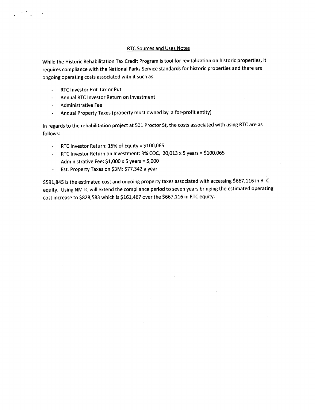### **RTC Sources and Uses Notes**

While the Historic Rehabilitation Tax Credit Program is tool for revitalization on historic properties, it requires compliance with the National Parks Service standards for historic properties and there are ongoing operating costs associated with it such as:

- RTCInvestor Exit Tax or Put
- Annual RTCInvestor Return on Investment  $\mathbb{R}^{\mathbb{Z}^{\times \mathbb{Z}^{\times \mathbb{Z}^{\times \mathbb{Z}^{\times \mathbb{Z}^{\times \mathbb{Z}^{\times \mathbb{Z}^{\times \mathbb{Z}^{\times \mathbb{Z}^{\times \mathbb{Z}^{\times \mathbb{Z}^{\times \mathbb{Z}^{\times \mathbb{Z}^{\times \mathbb{Z}^{\times \mathbb{Z}^{\times \mathbb{Z}^{\times \mathbb{Z}^{\times \mathbb{Z}^{\times \mathbb{Z}^{\times \mathbb{Z}^{\times \mathbb{Z}^{\times \mathbb{Z}^{\times \mathbb{Z}^{\times \mathbb{Z}$
- Administrative Fee

.' ..

Annual Property Taxes (property must owned by a for-profit entity)  $\blacksquare$ 

In regards to the rehabilitation project at 501 Proctor St, the costs associated with using RTC are as follows:

- RTCInvestor Return: 15% of Equity = \$100,065
- RTC Investor Return on Investment:  $3\%$  COC,  $20,013 \times 5$  years = \$100,065
- Administrative Fee:  $$1,000 \times 5$  years =  $5,000$
- Est. Property Taxes on \$3M: \$77,342 a year  $\mathbf{L}^{\text{max}}$

\$591,845 is the estimated cost and ongoing property taxes associated with accessing \$667,116 in RTC equity. Using NMTC will extend the compliance period to seven years bringing the estimated operating cost increase to \$828,583 which is \$161,467 over the \$667,116 in RTC equity.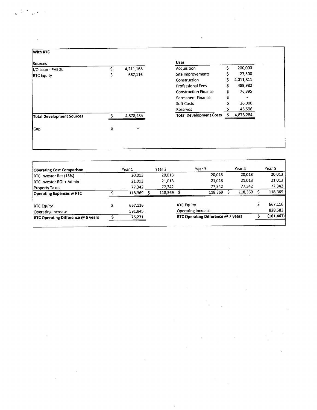| With RTC                         |    |           |                                |    |           |
|----------------------------------|----|-----------|--------------------------------|----|-----------|
| <b>Sources</b>                   |    |           | <b>Uses</b>                    |    |           |
| II/O Loan - PAEDC                |    | 4,211,168 | Acquisition                    |    | 200,000   |
| <b>RTC Equity</b>                | s  | 667,116   | Site Improvements              |    | 27,500    |
|                                  |    |           | Construction                   | Ś. | 4,011,811 |
|                                  |    |           | <b>Professional Fees</b>       | Ś  | 489,982   |
|                                  |    |           | <b>Construction Finance</b>    | \$ | 76,395    |
|                                  |    |           | <b>Permanent Finance</b>       | Ś  |           |
|                                  |    |           | <b>Soft Costs</b>              |    | 26,000    |
|                                  |    |           | Reserves                       |    | 46,596    |
| <b>Total Development Sources</b> |    | 4,878,284 | <b>Total Development Costs</b> |    | 4,878,284 |
|                                  |    |           |                                |    |           |
| Gap                              | \$ |           |                                |    |           |
|                                  |    |           |                                |    |           |
|                                  |    |           |                                |    |           |

 $\label{eq:2.1} \frac{1}{\sqrt{2}}\left(\frac{1}{\sqrt{2}}\right)^{2} \left(\frac{1}{\sqrt{2}}\right)^{2} \left(\frac{1}{\sqrt{2}}\right)^{2} \left(\frac{1}{\sqrt{2}}\right)^{2} \left(\frac{1}{\sqrt{2}}\right)^{2} \left(\frac{1}{\sqrt{2}}\right)^{2} \left(\frac{1}{\sqrt{2}}\right)^{2} \left(\frac{1}{\sqrt{2}}\right)^{2} \left(\frac{1}{\sqrt{2}}\right)^{2} \left(\frac{1}{\sqrt{2}}\right)^{2} \left(\frac{1}{\sqrt{2}}\right)^{2} \left(\$ 

 $\label{eq:2.1} \begin{split} \mathcal{L}_{\text{max}}(\mathbf{r}) = \mathcal{L}_{\text{max}}(\mathbf{r}) \mathcal{L}_{\text{max}}(\mathbf{r}) \mathcal{L}_{\text{max}}(\mathbf{r}) \mathcal{L}_{\text{max}}(\mathbf{r}) \mathcal{L}_{\text{max}}(\mathbf{r}) \mathcal{L}_{\text{max}}(\mathbf{r}) \mathcal{L}_{\text{max}}(\mathbf{r}) \mathcal{L}_{\text{max}}(\mathbf{r}) \mathcal{L}_{\text{max}}(\mathbf{r}) \mathcal{L}_{\text{max}}(\mathbf{r}) \mathcal{L}_{\text{max}}(\mathbf{r}) \$ 

 $\label{eq:2} \mathcal{F}^{\text{max}}_{\text{max}}(\mathcal{L}_{\text{max}}) = 0.1$ 

 $\label{eq:2.1} \frac{1}{\sqrt{2}}\int_{\mathbb{R}^3}\frac{1}{\sqrt{2}}\left(\frac{1}{\sqrt{2}}\right)^2\frac{1}{\sqrt{2}}\left(\frac{1}{\sqrt{2}}\right)^2\frac{1}{\sqrt{2}}\left(\frac{1}{\sqrt{2}}\right)^2\frac{1}{\sqrt{2}}\left(\frac{1}{\sqrt{2}}\right)^2.$ 

وأرادي

 $\mathcal{L}^{\text{max}}_{\text{max}}$  and  $\mathcal{L}^{\text{max}}_{\text{max}}$ 

 $\frac{1}{2} \left( \frac{1}{2} \right)$ 

| <b>Operating Cost Comparison</b>          |  | Year 1  | Year 2                             |                    | Year 3  |            | Year 4  | Year 5  |
|-------------------------------------------|--|---------|------------------------------------|--------------------|---------|------------|---------|---------|
| RTC Investor Ret (15%)                    |  | 20,013  | 20.013                             |                    | 20.013  |            | 20,013  | 20,013  |
| <b>IRTC Investor ROI + Admin</b>          |  | 21,013  | 21,013                             |                    | 21,013  |            | 21,013  | 21,013  |
| <b>Property Taxes</b>                     |  | 77,342  | 77,342                             |                    | 77,342  |            | 77,342  | 77,342  |
| <b>Operating Expenses w RTC</b>           |  | 118,369 | 118,369                            |                    | 118,369 |            | 118,369 | 118,369 |
| <b>RTC Equity</b>                         |  | 667,116 |                                    | <b>RTC Equity</b>  |         |            |         | 667,116 |
| Operating Increase                        |  | 591,845 |                                    | Operating Increase |         |            |         | 828,583 |
| <b>RTC Operating Difference @ 5 years</b> |  | 75,271  | RTC Operating Difference @ 7 years |                    |         | (161, 467) |         |         |

 $\mathcal{L}^{\text{max}}_{\text{max}}$  and  $\mathcal{L}^{\text{max}}_{\text{max}}$ 

 $\mathcal{L}^{\text{max}}_{\text{max}}$  and  $\mathcal{L}^{\text{max}}_{\text{max}}$ 

 $\mathcal{L}^{\pm}$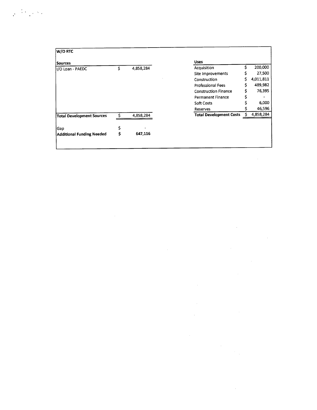## $\label{eq:2} \frac{1}{2} \left( \frac{1}{2} \sum_{i=1}^n \frac{1}{2} \sum_{j=1}^n \frac{1}{2} \sum_{j=1}^n \frac{1}{2} \sum_{j=1}^n \frac{1}{2} \sum_{j=1}^n \frac{1}{2} \sum_{j=1}^n \frac{1}{2} \sum_{j=1}^n \frac{1}{2} \sum_{j=1}^n \frac{1}{2} \sum_{j=1}^n \frac{1}{2} \sum_{j=1}^n \frac{1}{2} \sum_{j=1}^n \frac{1}{2} \sum_{j=1}^n \frac{1}{2} \sum_{j$

| W/O RTC                          |   |           |                                |           |
|----------------------------------|---|-----------|--------------------------------|-----------|
| Sources                          |   |           | <b>Uses</b>                    |           |
| II/O Loan - PAEDC                | Ś | 4,858,284 | Acquisition                    | 200,000   |
|                                  |   |           | Site Improvements              | 27,500    |
|                                  |   |           | Construction                   | 4,011,811 |
|                                  |   |           | <b>Professional Fees</b>       | 489,982   |
|                                  |   |           | <b>Construction Finance</b>    | 76,395    |
|                                  |   |           | Permanent Finance              |           |
|                                  |   |           | Soft Costs                     | 6,000     |
|                                  |   |           | Reserves                       | 46,596    |
| <b>Total Development Sources</b> |   | 4,858,284 | <b>Total Development Costs</b> | 4,858,284 |
| Gap                              |   |           |                                |           |
| <b>Additional Funding Needed</b> | S | 647,116   |                                |           |
|                                  |   |           |                                |           |

 $\mathcal{L}^{\text{max}}_{\text{max}}$  and  $\mathcal{L}^{\text{max}}_{\text{max}}$ 

 $\mathcal{L}(\mathcal{L}(\mathcal{L}))$  and  $\mathcal{L}(\mathcal{L}(\mathcal{L}))$  and  $\mathcal{L}(\mathcal{L}(\mathcal{L}))$  . The contribution of  $\mathcal{L}(\mathcal{L})$ 

 $\mathcal{L}^{\text{max}}_{\text{max}}$  and  $\mathcal{L}^{\text{max}}_{\text{max}}$ 

 $\label{eq:2.1} \frac{1}{\sqrt{2}}\int_{\mathbb{R}^3}\frac{1}{\sqrt{2}}\left(\frac{1}{\sqrt{2}}\right)^2\frac{1}{\sqrt{2}}\left(\frac{1}{\sqrt{2}}\right)^2\frac{1}{\sqrt{2}}\left(\frac{1}{\sqrt{2}}\right)^2\frac{1}{\sqrt{2}}\left(\frac{1}{\sqrt{2}}\right)^2\frac{1}{\sqrt{2}}\left(\frac{1}{\sqrt{2}}\right)^2\frac{1}{\sqrt{2}}\frac{1}{\sqrt{2}}\frac{1}{\sqrt{2}}\frac{1}{\sqrt{2}}\frac{1}{\sqrt{2}}\frac{1}{\sqrt{2}}$ 

 $\mathcal{L}^{\text{max}}_{\text{max}}$ 

 $\label{eq:2.1} \frac{1}{\sqrt{2}}\int_{\mathbb{R}^3}\frac{1}{\sqrt{2}}\left(\frac{1}{\sqrt{2}}\right)^2\frac{1}{\sqrt{2}}\left(\frac{1}{\sqrt{2}}\right)^2\frac{1}{\sqrt{2}}\left(\frac{1}{\sqrt{2}}\right)^2.$ 

 $\label{eq:2.1} \frac{1}{\sqrt{2}}\int_{\mathbb{R}^3}\frac{1}{\sqrt{2}}\left(\frac{1}{\sqrt{2}}\right)^2\frac{1}{\sqrt{2}}\left(\frac{1}{\sqrt{2}}\right)^2\frac{1}{\sqrt{2}}\left(\frac{1}{\sqrt{2}}\right)^2\frac{1}{\sqrt{2}}\left(\frac{1}{\sqrt{2}}\right)^2\frac{1}{\sqrt{2}}\left(\frac{1}{\sqrt{2}}\right)^2\frac{1}{\sqrt{2}}\frac{1}{\sqrt{2}}\frac{1}{\sqrt{2}}\frac{1}{\sqrt{2}}\frac{1}{\sqrt{2}}\frac{1}{\sqrt{2}}$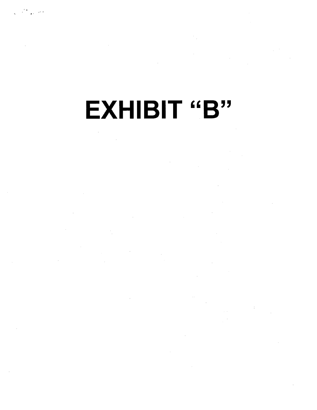# **EXHIBIT "B"**

 $\frac{1}{2}$  ,  $\frac{1}{2}$ 

 $\sim 10$  $\sim 10^{-1}$ 

 $\frac{1}{2}$ 

 $\bar{\beta}$  $\sim$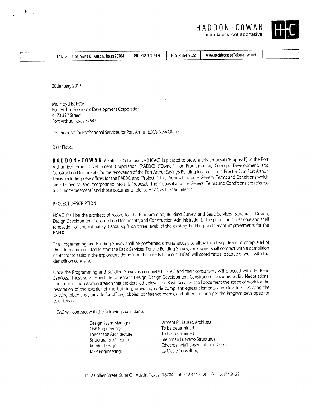| HADDON + COWAN |                          |
|----------------|--------------------------|
|                | architects collaborative |



| 1412 Collier St, Suite C | PH 512 374 9120<br>Austin, Texas 78704 | 5123749122 | www.architectscollaborative.net |  |
|--------------------------|----------------------------------------|------------|---------------------------------|--|
|                          |                                        |            |                                 |  |

28 January 2013

 $\sqrt{2}$  . The set of  $\sqrt{2}$ 

Mr. Floyd Batiste Port Arthur Economic Development Corporation 4173 39th Street Port Arthur, Texas 77642

Re: Proposal for Professional Services for Port Arthur EDC's New Office

Dear Floyd:

H A D D O N + C O W A N Architects Collaborative (HCAC) is pleased to present this proposal ("Proposal") to the Port Arthur Economic Development Corporation (PAEDC) ("Owner") for Programming, Concept Development, and Construction Documents for the renovation of the Port Arthur Savings Building located at 501 Proctor St in Port Arthur, Texas, including new offices for the PAEDC (the "Project)." This Proposal includes General Terms and Conditions which are attached to, and incorporated into this Proposal. The Proposal and the General Terms and Conditions are referred to as the "Agreement" and those documents refer to HCAC as the "Architect."

#### PROJECT DESCRIPTION

HCAC shall be the architect of record for the Programming, Building Survey, and Basic Services (Schematic Design, Design Development, Construction Documents, and Construction Administration). The project includes core and shell renovation of approximately 19,500 sq ft on three levels of the existing building and tenant improvements for the PAEDC.

The Programming and Building Survey shall be preformed simultaneously to allow the design team to compile all of the information needed to start the Basic Services. For the Building Survey, the Owner shall contract with a demolition contactor to assist in the exploratory demolition that needs to occur. HCACwill coordinate the scope of work with the demolition contractor.

Once the Programming and Building Survey is completed, HCAC and their consultants will proceed with the Basic *Services.* These services include Schematic Design, Design Development, Construction Documents, Bid Negotiations, and Construction Administration that are detailed below. The Basic*Services* shall document the scope of work for the restoration of the exterior of the building, providing code compliant egress elements and elevators, restoring the existing lobby area, provide for offices, lobbies, conference rooms, and other function per the Program developed for each tenant.

HCAC will contract with the following consultants:

Design Team Manager: Civil Engineering: Landscape Architecture: Structural Engineering: Interior Design: MEP Engineering:

Vincent P. Hauser, Architect To be determined To be determined Steinman Luevano Structures Edwards+Mulhausen Interior Design La Mette Consulting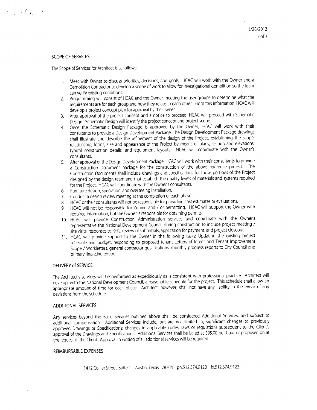#### SCOPE**OF** SERVICES

 $\mathbf{v} = \left( \begin{array}{cc} 1 & \mathbf{r} \\ \mathbf{r} & \mathbf{r} \end{array} \right)$  ,  $\mathbf{r} = \mathbf{r}$ 

The Scope of Services for Architect is as follows:

- 1. Meet with Owner to discuss priorities, decisions, and goals. HCACwill work with the Owner and a Demolition Contractor to develop a scope of work to allow for investigational demolition so the team can verify existing conditions.
- 2. Programming will consist of HCAC and the Owner meeting the user groups to determine what the requirements are for each group and how they relate to each other. From this information, HCACwill develop a project concept plan for approval by the Owner.
- 3. After approval of the project concept and a notice to proceed, HCACwill proceed with Schematic Design. Schematic Design will identify the project concept and project scope.
- 4. Once the Schematic Design Package is approved by the Owner, HCAC will work with their consultants to provide a Design Development Package.The Design Development Packagedrawings shall illustrate and describe the refinement of the design of the Project, establishing the scope, relationship, forms, size and appearance of the Project by means of plans, section and elevations, typical construction details, and equipment layouts. HCAC will coordinate with the Owner's consultants.
- 5. After approval of the Design Development Package, HCAC will work with their consultants to provide a Construction Document package for the construction of the above reference project. The Construction Documents shall include drawings and specifications for those portions of the Project designed by the design team and that establish the quality levels of materials and systems required for the Project. HCAC will coordinate with the Owner's consultants.
- 6. Furniture design, speciation, and overseeing installation.
- 7. Conduct a design review meeting at the completion of each phase.
- 8. HCAC or their consultants will not be responsible for providing cost estimates or evaluations.
- 9. HCAC will not be responsible for Zoning and / or permitting. HCAC will support the Owner with required information, but the Owner is responsible for obtaining permits.
- 10. HCAC will provide Construction Administration services and coordinate with the Owner's representative the National Development Council during construction to include project meeting / site visits, responses to RFI's, review of submittals, application for payment, and project closeout.
- 11. HCAC will provide support to the Owner in the following tasks: Updating the existing project schedule and budget, responding to proposed tenant Letters of Intent and Tenant Improvement Scope / Workletters, general contractor qualifications, monthly progress reports to City Council and primary financing entity.

#### DELIVERY of SERVICE

The Architect's services will be performed as expeditiously as is consistent with professional practice. Architect will develop, with the National Development Council, a reasonable schedule for the project. This schedule shall allow an appropriate amount of time for each phase. Architect, however, shall not have any liability in the event of any deviations from the schedule.

#### ADDITIONAL SERVICES

Any services beyond the Basic Services outlined above shall be considered Additional Services, and subject to additional compensation. Additional Services include, but are not limited to; significant changes to previously approved Drawings or Specifications; changes in applicable codes, laws or regulations subsequent to the Client's approval of the Drawings and Specifications. Additional Services shall be billed at \$95.00 per hour or proposed on at the request of the Client. Approval in writing of all additional services will be required.

#### REIMBURSABLE EXPENSES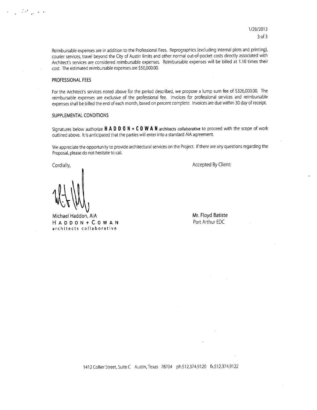*1/2812013* 30f3

Reimbursable expenses are in addition to the Professional Fees. Reprographics (excluding internal plots and printing), courier services, travel beyond the City of Austin limits and other normal out-of-pocket costs directly associated with Architect's services are considered reimbursable expenses. Reimbursable expenses will be billed at 1.10 times their cost. The estimated reimbursable expenses are \$50,000.00.

### PROFESSIONAL**FEES**

, where  $\mathcal{L}$  , and  $\mathcal{L}$ 

For the Architect's services noted above for the period described, we propose a lump sum fee of \$326,000.00. The reimbursable expenses are exclusive of the professional fee. Invoices for professional services and reimbursable expenses shall be billed the end of each month, based on percent complete. Invoices are due within 30 day of receipt.

#### SUPPLEMENTAL CONDITIONS

Signatures below authorize  $H A D D O N + C O W A N$  architects collaborative to proceed with the scope of work outlined above. It is anticipated that the parties will enter into a standard AlA agreement.

We appreciate the opportunity to provide architectural services on the Project. If there are any questions regarding the Proposal, please do not hesitate to call.

Cordially,

Michael Haddon, AlA **HADDON+COWAN** architects collaborative

Accepted By Client:

**Mr.** Floyd Batiste Port Arthur EDC

1412 Collier Street,Suite C Austin, Texas 78704 ph.512.374.9120 fx.512.374.9122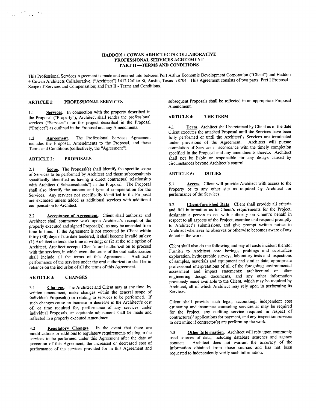#### HADDON + COWAN ARHICTECTS COLLABORATIVE PROFESSIONAL SERVICES AGREEMENT PART II -TERMS AND CONDITIONS

This Professional Services Agreement is made and entered into between Port Arthur Economic Development Corporation ("Client") and Haddon + Cowan Architects Collaborative. ("Architect") 1412 Collier St, Austin, Texas 78704. This Agreement consists of two parts: Part 1 Proposal-Scope of Services and Compensation; and Part 11- Terms and Conditions.

1.1 Services. In connection with the property described in the Proposal ("Property"), Architect shall render the professional services ("Services") for the project described in the Proposal ("Project") as outlined in the Proposal and any Amendments.  $\overline{1}$  Term. Architect shall be retained by Client as of the date

1.2 Agreement. The Professional Services Agreement includes the Proposal, Amendments to the Proposal, and these Terms and Conditions (collectively, the "Agreement").

#### ARTICLE 2: PROPOSALS

" .

2.1 Scope. The Proposal(s) shall identify the specific scope of Services to be performed by Architect and those subconsultants specifically identified as having a direct contractual relationship with Architect ("Subconsultants") in the Proposal. The Proposal shall also identify the amount and type of compensation for the Services. Any services not specifically identified in the Proposal are excluded unless added as additional services with additional compensation to Architect.

2.2 **Acceptance of Agreement**. Client shall authorize and Architect shall commence work upon Architect's receipt of the properly executed and signed Proposal(s), as may be amended from time to time. If the Agreement is not executed by Client within thirty (30) days of the date tendered, it shall become invalid unless: (1) Architect extends the time in writing; or (2) at the sole option of Architect, Architect accepts Client's oral authorization to proceed with the services, in which event the terms of the oral authorization shall include all the terms of this Agreement. Architect's performance of the services under the oral authorization shall be in reliance on the inclusion of all the terms of this Agreement.

#### ARTICLE 3: CHANGES

3.1 Changes. The Architect and Client may at any time, by written amendment, make changes within the general scope of individual Proposal(s) or relating to services to be performed. If such changes cause an increase or decrease in the Architect's cost of, or time required for, performance of any services under individual Proposals, an equitable adjustment shall be made and reflected in a properly executed Amendment.

3.2 Regulatory Changes. In the event that there are modifications or additions to regulatory requirements relating to the services to be performed under this Agreement after the date of execution of this Agreement, the increased or decreased cost of performance of the services provided for in this Agreement and

ARTICLE 1: PROFESSIONAL SERVICES subsequent Proposals shall be reflected in an appropriate Proposal Amendment.

#### ARTICLE 4: THE TERM

Client executes the attached Proposal until the Services have been fully performed or until the Architect's Services are terminated under provisions of the Agreement. Architect will pursue completion of Services in accordance with the timely completion specified in the Proposal and any amendments thereto. Architect shall not be liable or responsible for any delays caused by circumstances beyond Architect's control.

#### ARTICLES: DUTIES

5.1 Access. Client will provide Architect with access to the Property or to any other site as required by Architect for performance of the Services.

5.2 Client-furnished Data. Client shall provide all criteria and full information as to Client's requirements for the Project, designate a person to act with authority on Client's behalf in respect to all aspects of the Project, examine and respond promptly to Architect's submissions, and give prompt written notice to Architect whenever he observes or otherwise becomes aware of any defect in the work.

Client shall also do the following and pay all costs incident thereto: Furnish to Architect core borings, probings and subsurface exploration, hydrographic surveys, laboratory tests and inspections of samples, materials and equipment and similar data; appropriate professional interpretations of all of the foregoing; environmental assessment and impact statements; architectural or other engineering design documents, and any other information previously made available to the Client, which may be required by Architect, all of which Architect may rely upon in performing its Services.

Client shall provide such legal, accounting, independent cost estimating and insurance counseling services as may be required for the Project, any auditing service required in respect of contractor(s)' applications for payment, and any inspection services to determine if contractor(s) are performing the work.

5.3 Other Information. Architect will rely upon commonly used sources of data, including database searches and agency contacts. Architect does not warrant the accuracy of the information obtained from those sources and has not been requested to independently verify such information.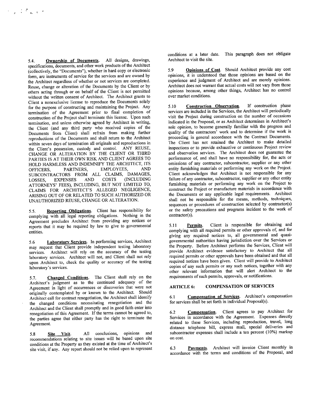5.4. Ownership of Documents. All designs, drawings, specifications, documents, and other work products of the Architect (collectively, the "Documents"), whether in hard copy or electronic form, are instruments of service for the services and are owned by the Architect regardless of whether or not services are completed. Reuse, change or alteration of the Documents by the Client or by others acting through or on behalf of the Client is not permitted without the written consent of Architect. The Architect grants to Client a nonexclusive license to reproduce the Documents solely for the purpose of constructing and maintaining the Project. Any termination of the Agreement prior to final completion of construction of the Project shall terminate this license. Upon such termination, and unless otherwise agreed by Architect in writing, the Client (and any third party who received copies of the Documents from Client) shall refrain from making further reproductions of the Documents and shall return to the Architect within seven days of termination all originals and reproductions in the Client's possession, custody and control. ANY REUSE, CHANGE OR ALTERATION BY THE CLIENT OR THIRD PARTIES IS AT THEIR OWN RISK AND CLIENT AGREES TO HOLD HARMLESS AND INDEMNIFY THE ARCHITECT, ITS OFFICERS, PARTNERS, EMPLOYEES, AND SUBCONTRACTORS FROM ALL CLAIMS, DAMAGES LOSSES, EXPENSES AND COSTS (INCLUDING ATTORNEYS' FEES), INCLUDING, BUT NOT LIMITED TO, CLAIMS FOR ARCHITECT'S ALLEGED NEGLIGENCE, ARISING OUT OF OR RELATED TO SUCH AUTHORIZED OR UNAUTHORIZED REUSE, CHANGE OR ALTERATION.

5.5. Reporting Obligations. Client has responsibility for complying with all legal reporting obligations. Nothing in the Agreement precludes Architect from providing any notices or reports that it may be required by law to give to governmental entities.

5.6 Laboratory Services. In performing services, Architect may request that Client provide independent testing laboratory services. Architect will rely on the accuracy of the testing laboratory services. Architect will not, and Client shall not rely upon Architect to, check the quality or accuracy of the testing laboratory's services.

5.7. Changed Conditions. The Client shall rely on the Architect's judgment as to the continued adequacy of the Agreement in light of occurrences or discoveries that were not originally contemplated by or known to the Architect. Should Architect call for contract renegotiation, the Architect shall identifY the changed conditions necessitating renegotiation and the Architect and the Client shall promptly and in good faith enter into renegotiation of this Agreement. If the terms cannot be agreed to, the parties agree that either party has the right to terminate the Agreement.

5.8 Site Visit. All conclusions, opinions and recommendations relating to site issues will be based upon site conditions at the Property as they existed at the time of Architect's site visit, if any. Any report should not be relied upon to represent conditions at a later date. This paragraph does not obligate Architect to visit the site.

5.9 Opinions of Cost. Should Architect provide any cost opinions, it is understood that those opinions are based on the experience and judgment of Architect and are merely opinions. Architect does not warrant that actual costs will not vary from those opinions because, among other things, Architect has no control over market conditions.

5.10 Construction Observation. If construction phase services are included in the Services, the Architect will periodically visit the Project during construction on the number of occasions indicated in the Proposal, or as Architect determines in Architect's sole opinion, to become generally familiar with the progress and quality of the contractors' work and to determine if the work is proceeding in general accordance with the Contract Documents. The Client has not retained the Architect to make detailed inspections or to provide exhaustive or continuous Project review and observation services. The Architect does not guarantee the performance of, and shall have no responsibility for, the acts or omissions of any contractor, subcontractor, supplier or any other entity furnishing materials or performing any work on the Project. Client acknowledges that Architect is not responsible for any failure of any contractor, subcontractor, supplier or any other entity furnishing materials or performing any work on the Project to construct the Project or manufacture materials in accordance with the Documents or any applicable legal requirements. Architect shall not be responsible for the means, methods, techniques, sequences or procedures of construction selected by contractor(s) or the safety precautions and programs incident to the work of contractor(s).

5.11 Permits. Client is responsible for obtaining and complying with all required permits or other approvals of, and for giving any required notices to, all governmental and quasigovernmental authorities having jurisdiction over the Services or the Property. Before Architect performs the Services, Client will provide Architect evidence satisfactory to Architect that all required permits or other approvals have been obtained and that all required notices have been given. Client will provide to Architect copies of any such permits or any such notices, together with any other relevant information that will alert Architect to the requirements of such permits, approvals, or notifications.

#### ARTICLE 6: COMPENSATION OF SERVICES

6.1 Compensation of Services. Architect's compensation for services shall be set forth in individual Proposal(s).

6.2 Compensation. Client agrees to pay Architect for Services in accordance with the Agreement. Expenses directly related to these Services, including reproduction, travel, long distance telephone bill, express mail, special deliveries and subcontractor expenses shall include a ten percent (10%) markup on cost.

6.3 Payments. Architect will invoice Client monthly in accordance with the terms and conditions of the Proposal, and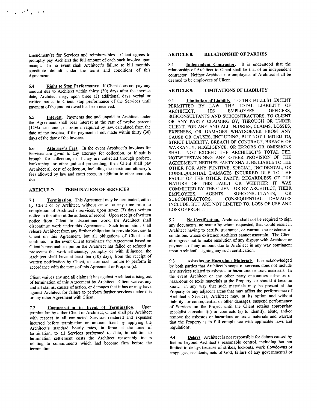amendment(s) for Services and reimbursables. Client agrees to promptly pay Architect the full amount of each such invoice upon receipt. In no event shall Architect's failure to bill monthly constitute default under the terms and conditions of this Agreement.

6.4 Right to Stop Performance. If Client does not pay any amount due to Architect within thirty (30) days after the invoice date, Architect may, upon three (3) additional days verbal or written notice to Client, stop performance of the Services until payment of the amount owed has been received.

6.5 Interest. Payments due and unpaid to Architect under the Agreement shall bear interest at the rate of twelve percent (12%) per annum, or lesser if required by law, calculated from the date of the invoice, if the payment is not made within thirty (30) days of the date of the invoice.

6.6 Attorney's Fees. In the event Architect's invoices for Services are given to any attorney for collection, or if suit is brought for collection, or if they are collected through probate, bankruptcy, or other judicial proceeding, then Client shall pay Architect all cost of collection, including the maximum attorney's fees allowed by law and court costs, in addition to other amounts due.

#### ARTICLE 7: TERMINATION OF SERVICES

7.1 Termination. This Agreement may be terminated, either by Client or by Architect, without cause, at any time prior to completion of Architect's services, upon seven (7) days written notice to the other at the address of record. Upon receipt of written notice from Client to discontinue work, the Architect shall discontinue work under this Agreement. Such termination shall release Architect from any further obligation to provide Services to Client on this Agreement, but all obligations of Client shall continue. In the event Client terminates the Agreement based on Client's reasonable opinion the Architect has failed or refused to prosecute the work efficiently, promptly or with diligence, the Architect shall have at least ten (10) days, from the receipt of written notification by Client, to cure such failure to perform in accordance with the terms of this Agreement or Proposal(s).

Client waives any and all claims it has against Architect arising out of termination of this Agreement by Architect. Client waives any and all claims, causes of action, or damages that it has or may have against Architect for failure to perform further services under this or any other Agreement with Client.

7.2 Compensation in Event of Termination. Upon termination by either Client or Architect, Client shall pay Architect with respect to all contracted Services rendered and expenses incurred before termination an amount fixed by applying the Architect's standard hourly rates, in force at the time of termination, to all Services performed to date, in addition to termination settlement costs the Architect reasonably incurs relating to commitments which had become firm before the termination.

#### ARTICLE 8: RELATIONSHIP OF PARTIES

8.1 Independent Contractor. It is understood that the relationship of Architect to Client shall be that of an independent contractor. Neither Architect nor employees of Architect shall be deemed to be employees of Client.

#### LIMITATIONS OF LIABILITY ARTICLE 9:

9.1 Limitation of Liability. TO THE FULLEST EXTENT PERMITTED BY LAW, THE TOTAL LIABILITY OF ARCHITECT. ITS EMPLOYEES, OFFICERS, ARCHITECT, ITS EMPLOYEES, SUBCONSULTANTS AND SUBCONTRACTORS, TO CLIENT OR ANY PARTY CLAIMING BY, THROUGH OR UNDER CLIENT, FOR ANY AND ALL INJURIES, CLAIMS, LOSSES, EXPENSES, OR DAMAGES WHATSOEVER FROM ANY CAUSE OR CAUSES, INCLUDING, BUT NOT LIMITED TO, STRICT LIABILITY, BREACH OF CONTRACT, BREACH OF WARRANTY, NEGLIGENCE, OR ERRORS OR OMISSIONS SHALL NOT EXCEED THE ARCHITECT'S TOTAL FEE. NOTWITHSTANDING ANY OTHER PROVISION OF THE AGREEMENT, NEITHER PARTY SHALL BE LIABLE TO THE OTHER FOR ANY PUNITIVE, SPECIAL, INCIDENTAL, OR CONSEQUENTIAL DAMAGES INCURRED DUE TO THE FAULT OF THE OTHER PARTY, REGARDLESS OF THE NATURE OF THIS FAULT OR WHETHER IT WAS COMMITTED BY THE CLIENT OR BY ARCHITECT, THEIR EMPLOYEES, AGENTS, SUBCONSULTANTS, OR SUBCONTRACTORS. CONSEQUENTIAL DAMAGES INCLUDE, BUT ARE NOT LIMITED TO, LOSS OF USE AND LOSS OF PROFIT.

9.2 No Certification. Architect shall not be required to sign any documents, no matter by whom requested, that would result in Architect having to certify, guarantee, or warrant the existence of conditions whose existence Architect cannot ascertain. The Client also agrees not to make resolution of any dispute with Architect or payments of any amount due to Architect in any way contingent upon Architect's signing any such certification.

9.3 Asbestos or Hazardous Materials. It is acknowledged by both parties that Architect's scope of services does not include any services related to asbestos or hazardous or toxic materials. In the event Architect or any other party encounters asbestos or hazardous or toxic materials at the Property, or should it become known in any way that such materials may be present at the Property or any adjacent areas that may affect the performance of Architect's Services, Architect may, at its option and without liability for consequential or other damages, suspend performance of Services on the Project until the Client retains appropriate specialist consultant(s) or contractor(s) to identify, abate, and/or remove the asbestos or hazardous or toxic materials and warrant that the Property is in full compliance with applicable laws and regulations.

9.4 Delays. Architect is not responsible for delays caused by factors beyond Architect's reasonable control, including but not limited to delays because of strikes, lockouts, work slowdowns or stoppages, accidents, acts of God, failure of any governmental or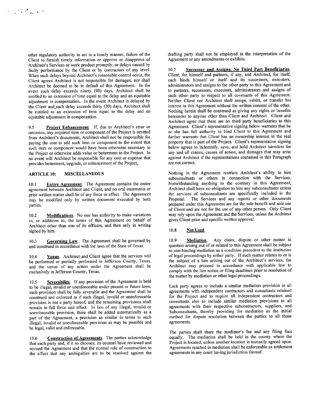other regulatory authority to act in a timely manner, failure of the Client to furnish timely information or approve or disapprove of Architect's Services or work product promptly, or delays caused by faulty performance by the Client or by contractors of any level. When such delays beyond Architect's reasonable control occur, the Client agrees Architect is not responsible for damages, nor shal1 Architect be deemed to be in default of this Agreement. In the event such delay exceeds ninety (90) days, Architect shal1 be entitled to an extension of time equal to the delay and an equitable adjustment in compensation. In the event Architect is delayed by the Client and\_such delay exceeds thirty (30) days, Architect shall be entitled to an extension of time equal to the delay and an equitable adjustment in compensation.

9.5 Project Enhancement. If, due to Architect's error or omission, any required item or component of the Project is omitted from Architect's documents, Architect shal1 not be responsible for paying the cost to add such item or component to the extent that such item or component would have been otherwise necessary to the Project or otherwise adds value or betterment to the Project. In no event will Architect be responsible for any cost or expense that provides betterment, upgrade, or enhancement of the Project.

, . , , ,

10.1 Entire Agreement. The Agreement contains the entire agreement between Architect and Client, and no oral statements or prior written matter shall be of any force or effect. The Agreement may be modified only by written document executed by both parties.

10.2 Modifications. No one has authority to make variations in, or additions to, the terms of this Agreement on behalf of Architect other than one of its officers, and then only in writing signed by him.

10.3 Governing Law. The Agreement shall be governed by and construed in accordance with the laws of the State of Texas.

10.4 Venue. Architect and Client agree that the services will be performed or partially performed in Jefferson County, Texas, and the venue of any action under the Agreement shal1 be exclusively in Jefferson County, Texas.

10.5 Severability. If any provision of the Agreement is held to be illegal, invalid or unenforceable under present or future laws, such provision shall be fully severable and the Agreement shall be construed and enforced as if such illegal, invalid or unenforceable provision is not a party hereof, and the remaining provisions shall remain in full force and effect. In lieu of any illegal, invalid or unenforceable provision, there shall be added automatically as a part of the Agreement, a provision as similar in terms to such illegal, invalid or unenforceable provision as may be possible and be legal, valid and enforceable.

10.6 Construction of Agreements. The parties acknowledge that each party and, if it so chooses, its counsel have reviewed and revised the Agreement and that the normal rule of construction to the effect that any ambiguities are to be resolved against the drafting party shall not be employed in the interpretation of the Agreement or any amendments or exhibits.

10.7 Successor and Assigns; No Third Part Beneficiaries. Client, for himself and partners, if any, and Architect, for itself, each binds himself or itself and its successors, executors, administrators and assigns to the other party to this Agreement and to partners, successors, executors, administrators and assigns of such other party in respect to all covenants of this Agreement. Neither Client nor Architect shall assign, sublet, or transfer his interest in this Agreement without the written consent of the other. Nothing herein shall be construed as giving any rights or benefits hereunder to anyone other than Client and Architect. Client and Architect agree that there are no third party beneficiaries to this Agreement. Client's representative signing below warrants that he or she has ful1 authority to bind Client to this Agreement and further warrants that Client has an ownership interest in the real property that is part of the Project. Client's representative signing below agrees to indemnify, save, and hold Architect harmless for any and all claims, causes of action, and damages that may arise against Architect if the representations contained in this Paragraph are not correct.

ARTICLE 10: MISCELLANEOUS Nothing in the Agreement restricts Architect's ability to hire subconsultants or others in connection with the Services. Notwithstanding anything to the contrary in this Agreement, Architect shall have no obligation to hire any subconsultants unless the services of subconsultants are specifically included in the Proposal. The Services and any reports or other documents prepared under this Agreement are for the sole benefit and sole use of Client and are not for the use of any other person. Only Client may rely upon the Agreement and the Services, unless the Architect gives Client prior and specific written approval.

#### 10.8 Not Used

10.9 **Mediation**. Any claim, dispute or other matter in question arising out of or related to this Agreement shall be subject to non-binding mediation as a condition precedent to the institution of legal proceedings by either party. If such matter relates to or is the subject of a lien arising out of the Architect's services, the Architect may proceed in accordance with applicable law to comply with the lien notice or filing deadlines prior to resolution of the matter by mediation or other legal proceedings.

Each party agrees to include a similar mediation provision in all agreements with independent contractors and consultants retained for the Project and to require all independent contractors and consultants also to include similar mediation provisions in al1 agreements with their respective subcontractors, suppliers, and Subconsultants, thereby providing for mediation as the initial method for dispute resolution between the parties to all those agreements.

The parties shall share the mediator's fee and any filing fees equally. The mediation shall be held in the county where the Project is located, unless another location is mutually agreed upon. Agreements reached in mediation shall be enforceable as settlement agreements in any court having jurisdiction thereof.